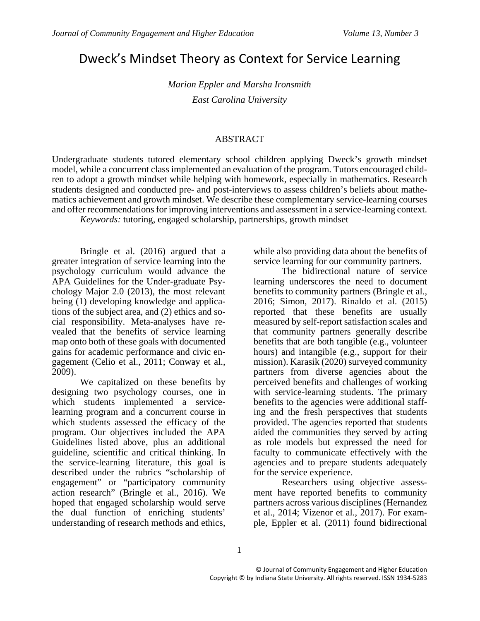# Dweck's Mindset Theory as Context for Service Learning

*Marion Eppler and Marsha Ironsmith East Carolina University* 

#### ABSTRACT

Undergraduate students tutored elementary school children applying Dweck's growth mindset model, while a concurrent class implemented an evaluation of the program. Tutors encouraged children to adopt a growth mindset while helping with homework, especially in mathematics. Research students designed and conducted pre- and post-interviews to assess children's beliefs about mathematics achievement and growth mindset. We describe these complementary service-learning courses and offer recommendations for improving interventions and assessment in a service-learning context.

*Keywords:* tutoring, engaged scholarship, partnerships, growth mindset

Bringle et al. (2016) argued that a greater integration of service learning into the psychology curriculum would advance the APA Guidelines for the Under-graduate Psychology Major 2.0 (2013), the most relevant being (1) developing knowledge and applications of the subject area, and  $(2)$  ethics and social responsibility. Meta-analyses have revealed that the benefits of service learning map onto both of these goals with documented gains for academic performance and civic engagement (Celio et al., 2011; Conway et al., 2009).

We capitalized on these benefits by designing two psychology courses, one in which students implemented a servicelearning program and a concurrent course in which students assessed the efficacy of the program. Our objectives included the APA Guidelines listed above, plus an additional guideline, scientific and critical thinking. In the service-learning literature, this goal is described under the rubrics "scholarship of engagement" or "participatory community action research" (Bringle et al., 2016). We hoped that engaged scholarship would serve the dual function of enriching students' understanding of research methods and ethics,

while also providing data about the benefits of service learning for our community partners.

The bidirectional nature of service learning underscores the need to document benefits to community partners (Bringle et al., 2016; Simon, 2017). Rinaldo et al. (2015) reported that these benefits are usually measured by self-report satisfaction scales and that community partners generally describe benefits that are both tangible (e.g., volunteer hours) and intangible (e.g., support for their mission). Karasik (2020) surveyed community partners from diverse agencies about the perceived benefits and challenges of working with service-learning students. The primary benefits to the agencies were additional staffing and the fresh perspectives that students provided. The agencies reported that students aided the communities they served by acting as role models but expressed the need for faculty to communicate effectively with the agencies and to prepare students adequately for the service experience.

Researchers using objective assessment have reported benefits to community partners across various disciplines (Hernandez et al., 2014; Vizenor et al., 2017). For example, Eppler et al. (2011) found bidirectional

1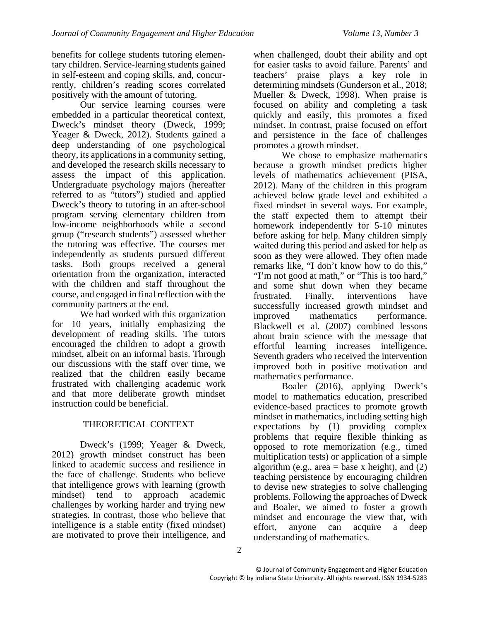benefits for college students tutoring elementary children. Service-learning students gained in self-esteem and coping skills, and, concurrently, children's reading scores correlated positively with the amount of tutoring.

Our service learning courses were embedded in a particular theoretical context, Dweck's mindset theory (Dweck, 1999; Yeager & Dweck, 2012). Students gained a deep understanding of one psychological theory, its applications in a community setting, and developed the research skills necessary to assess the impact of this application. Undergraduate psychology majors (hereafter referred to as "tutors") studied and applied Dweck's theory to tutoring in an after-school program serving elementary children from low-income neighborhoods while a second group ("research students") assessed whether the tutoring was effective. The courses met independently as students pursued different tasks. Both groups received a general orientation from the organization, interacted with the children and staff throughout the course, and engaged in final reflection with the community partners at the end.

We had worked with this organization for 10 years, initially emphasizing the development of reading skills. The tutors encouraged the children to adopt a growth mindset, albeit on an informal basis. Through our discussions with the staff over time, we realized that the children easily became frustrated with challenging academic work and that more deliberate growth mindset instruction could be beneficial.

# THEORETICAL CONTEXT

Dweck's (1999; Yeager & Dweck, 2012) growth mindset construct has been linked to academic success and resilience in the face of challenge. Students who believe that intelligence grows with learning (growth mindset) tend to approach academic challenges by working harder and trying new strategies. In contrast, those who believe that intelligence is a stable entity (fixed mindset) are motivated to prove their intelligence, and

when challenged, doubt their ability and opt for easier tasks to avoid failure. Parents' and teachers' praise plays a key role in determining mindsets (Gunderson et al., 2018; Mueller & Dweck, 1998). When praise is focused on ability and completing a task quickly and easily, this promotes a fixed mindset. In contrast, praise focused on effort and persistence in the face of challenges promotes a growth mindset.

We chose to emphasize mathematics because a growth mindset predicts higher levels of mathematics achievement (PISA, 2012). Many of the children in this program achieved below grade level and exhibited a fixed mindset in several ways. For example, the staff expected them to attempt their homework independently for 5-10 minutes before asking for help. Many children simply waited during this period and asked for help as soon as they were allowed. They often made remarks like, "I don't know how to do this," "I'm not good at math," or "This is too hard," and some shut down when they became frustrated. Finally, interventions have successfully increased growth mindset and improved mathematics performance. Blackwell et al. (2007) combined lessons about brain science with the message that effortful learning increases intelligence. Seventh graders who received the intervention improved both in positive motivation and mathematics performance.

Boaler (2016), applying Dweck's model to mathematics education, prescribed evidence-based practices to promote growth mindset in mathematics, including setting high expectations by (1) providing complex problems that require flexible thinking as opposed to rote memorization (e.g., timed multiplication tests) or application of a simple algorithm (e.g., area  $=$  base x height), and (2) teaching persistence by encouraging children to devise new strategies to solve challenging problems. Following the approaches of Dweck and Boaler, we aimed to foster a growth mindset and encourage the view that, with effort, anyone can acquire a deep understanding of mathematics.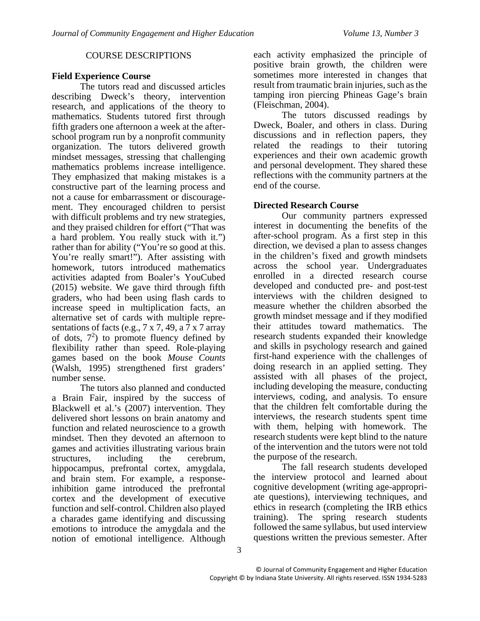#### COURSE DESCRIPTIONS

# **Field Experience Course**

The tutors read and discussed articles describing Dweck's theory, intervention research, and applications of the theory to mathematics. Students tutored first through fifth graders one afternoon a week at the afterschool program run by a nonprofit community organization. The tutors delivered growth mindset messages, stressing that challenging mathematics problems increase intelligence. They emphasized that making mistakes is a constructive part of the learning process and not a cause for embarrassment or discouragement. They encouraged children to persist with difficult problems and try new strategies, and they praised children for effort ("That was a hard problem. You really stuck with it.") rather than for ability ("You're so good at this. You're really smart!"). After assisting with homework, tutors introduced mathematics activities adapted from Boaler's YouCubed (2015) website. We gave third through fifth graders, who had been using flash cards to increase speed in multiplication facts, an alternative set of cards with multiple representations of facts (e.g.,  $7 \times 7$ , 49, a  $7 \times 7$  array of dots,  $7<sup>2</sup>$ ) to promote fluency defined by flexibility rather than speed. Role-playing games based on the book *Mouse Counts* (Walsh, 1995) strengthened first graders' number sense.

The tutors also planned and conducted a Brain Fair, inspired by the success of Blackwell et al.'s (2007) intervention. They delivered short lessons on brain anatomy and function and related neuroscience to a growth mindset. Then they devoted an afternoon to games and activities illustrating various brain structures, including the cerebrum, hippocampus, prefrontal cortex, amygdala, and brain stem. For example, a responseinhibition game introduced the prefrontal cortex and the development of executive function and self-control. Children also played a charades game identifying and discussing emotions to introduce the amygdala and the notion of emotional intelligence. Although each activity emphasized the principle of positive brain growth, the children were sometimes more interested in changes that result from traumatic brain injuries, such as the tamping iron piercing Phineas Gage's brain (Fleischman, 2004).

The tutors discussed readings by Dweck, Boaler, and others in class. During discussions and in reflection papers, they related the readings to their tutoring experiences and their own academic growth and personal development. They shared these reflections with the community partners at the end of the course.

# **Directed Research Course**

Our community partners expressed interest in documenting the benefits of the after-school program. As a first step in this direction, we devised a plan to assess changes in the children's fixed and growth mindsets across the school year. Undergraduates enrolled in a directed research course developed and conducted pre- and post-test interviews with the children designed to measure whether the children absorbed the growth mindset message and if they modified their attitudes toward mathematics. The research students expanded their knowledge and skills in psychology research and gained first-hand experience with the challenges of doing research in an applied setting. They assisted with all phases of the project, including developing the measure, conducting interviews, coding, and analysis. To ensure that the children felt comfortable during the interviews, the research students spent time with them, helping with homework. The research students were kept blind to the nature of the intervention and the tutors were not told the purpose of the research.

The fall research students developed the interview protocol and learned about cognitive development (writing age-appropriate questions), interviewing techniques, and ethics in research (completing the IRB ethics training). The spring research students followed the same syllabus, but used interview questions written the previous semester. After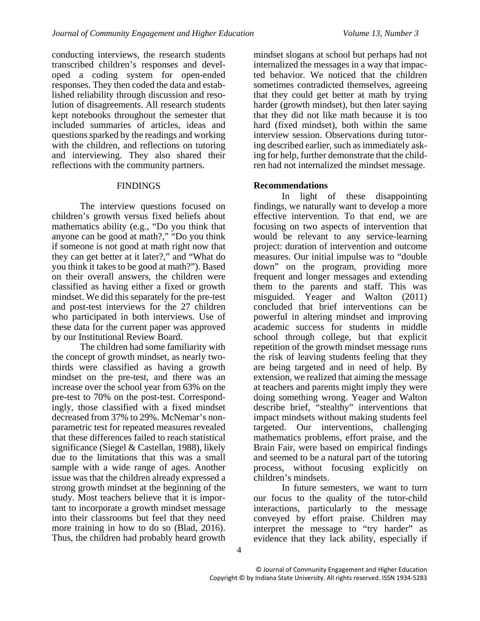conducting interviews, the research students transcribed children's responses and developed a coding system for open-ended responses. They then coded the data and established reliability through discussion and resolution of disagreements. All research students kept notebooks throughout the semester that included summaries of articles, ideas and questions sparked by the readings and working with the children, and reflections on tutoring and interviewing. They also shared their reflections with the community partners.

# **FINDINGS**

The interview questions focused on children's growth versus fixed beliefs about mathematics ability (e.g., "Do you think that anyone can be good at math?," "Do you think if someone is not good at math right now that they can get better at it later?," and "What do you think it takes to be good at math?"). Based on their overall answers, the children were classified as having either a fixed or growth mindset. We did this separately for the pre-test and post-test interviews for the 27 children who participated in both interviews. Use of these data for the current paper was approved by our Institutional Review Board.

The children had some familiarity with the concept of growth mindset, as nearly twothirds were classified as having a growth mindset on the pre-test, and there was an increase over the school year from 63% on the pre-test to 70% on the post-test. Correspondingly, those classified with a fixed mindset decreased from 37% to 29%. McNemar's nonparametric test for repeated measures revealed that these differences failed to reach statistical significance (Siegel & Castellan, 1988), likely due to the limitations that this was a small sample with a wide range of ages. Another issue was that the children already expressed a strong growth mindset at the beginning of the study. Most teachers believe that it is important to incorporate a growth mindset message into their classrooms but feel that they need more training in how to do so (Blad, 2016). Thus, the children had probably heard growth

mindset slogans at school but perhaps had not internalized the messages in a way that impacted behavior. We noticed that the children sometimes contradicted themselves, agreeing that they could get better at math by trying harder (growth mindset), but then later saying that they did not like math because it is too hard (fixed mindset), both within the same interview session. Observations during tutoring described earlier, such as immediately asking for help, further demonstrate that the children had not internalized the mindset message.

# **Recommendations**

In light of these disappointing findings, we naturally want to develop a more effective intervention. To that end, we are focusing on two aspects of intervention that would be relevant to any service-learning project: duration of intervention and outcome measures. Our initial impulse was to "double down" on the program, providing more frequent and longer messages and extending them to the parents and staff. This was misguided. Yeager and Walton (2011) concluded that brief interventions can be powerful in altering mindset and improving academic success for students in middle school through college, but that explicit repetition of the growth mindset message runs the risk of leaving students feeling that they are being targeted and in need of help. By extension, we realized that aiming the message at teachers and parents might imply they were doing something wrong. Yeager and Walton describe brief, "stealthy" interventions that impact mindsets without making students feel targeted. Our interventions, challenging mathematics problems, effort praise, and the Brain Fair, were based on empirical findings and seemed to be a natural part of the tutoring process, without focusing explicitly on children's mindsets.

In future semesters, we want to turn our focus to the quality of the tutor-child interactions, particularly to the message conveyed by effort praise. Children may interpret the message to "try harder" as evidence that they lack ability, especially if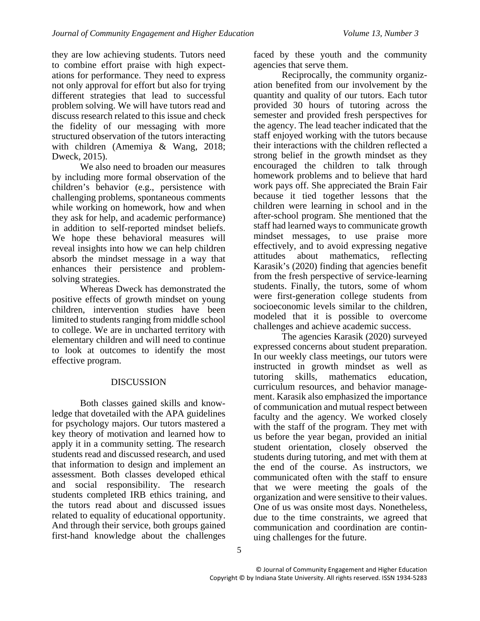they are low achieving students. Tutors need to combine effort praise with high expectations for performance. They need to express not only approval for effort but also for trying different strategies that lead to successful problem solving. We will have tutors read and discuss research related to this issue and check the fidelity of our messaging with more structured observation of the tutors interacting with children (Amemiya & Wang, 2018; Dweck, 2015).

We also need to broaden our measures by including more formal observation of the children's behavior (e.g., persistence with challenging problems, spontaneous comments while working on homework, how and when they ask for help, and academic performance) in addition to self-reported mindset beliefs. We hope these behavioral measures will reveal insights into how we can help children absorb the mindset message in a way that enhances their persistence and problemsolving strategies.

Whereas Dweck has demonstrated the positive effects of growth mindset on young children, intervention studies have been limited to students ranging from middle school to college. We are in uncharted territory with elementary children and will need to continue to look at outcomes to identify the most effective program.

# DISCUSSION

Both classes gained skills and knowledge that dovetailed with the APA guidelines for psychology majors. Our tutors mastered a key theory of motivation and learned how to apply it in a community setting. The research students read and discussed research, and used that information to design and implement an assessment. Both classes developed ethical and social responsibility. The research students completed IRB ethics training, and the tutors read about and discussed issues related to equality of educational opportunity. And through their service, both groups gained first-hand knowledge about the challenges

faced by these youth and the community agencies that serve them.

 Reciprocally, the community organization benefited from our involvement by the quantity and quality of our tutors. Each tutor provided 30 hours of tutoring across the semester and provided fresh perspectives for the agency. The lead teacher indicated that the staff enjoyed working with the tutors because their interactions with the children reflected a strong belief in the growth mindset as they encouraged the children to talk through homework problems and to believe that hard work pays off. She appreciated the Brain Fair because it tied together lessons that the children were learning in school and in the after-school program. She mentioned that the staff had learned ways to communicate growth mindset messages, to use praise more effectively, and to avoid expressing negative attitudes about mathematics, reflecting Karasik's (2020) finding that agencies benefit from the fresh perspective of service-learning students. Finally, the tutors, some of whom were first-generation college students from socioeconomic levels similar to the children, modeled that it is possible to overcome challenges and achieve academic success.

 The agencies Karasik (2020) surveyed expressed concerns about student preparation. In our weekly class meetings, our tutors were instructed in growth mindset as well as tutoring skills, mathematics education, curriculum resources, and behavior management. Karasik also emphasized the importance of communication and mutual respect between faculty and the agency. We worked closely with the staff of the program. They met with us before the year began, provided an initial student orientation, closely observed the students during tutoring, and met with them at the end of the course. As instructors, we communicated often with the staff to ensure that we were meeting the goals of the organization and were sensitive to their values. One of us was onsite most days. Nonetheless, due to the time constraints, we agreed that communication and coordination are continuing challenges for the future.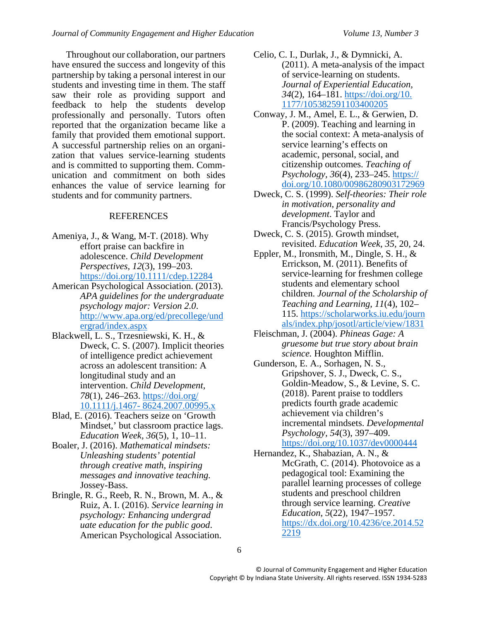Throughout our collaboration, our partners have ensured the success and longevity of this partnership by taking a personal interest in our students and investing time in them. The staff saw their role as providing support and feedback to help the students develop professionally and personally. Tutors often reported that the organization became like a family that provided them emotional support. A successful partnership relies on an organization that values service-learning students and is committed to supporting them. Communication and commitment on both sides enhances the value of service learning for students and for community partners.

# REFERENCES

- Ameniya, J., & Wang, M-T. (2018). Why effort praise can backfire in adolescence. *Child Development Perspectives, 12*(3), 199–203. https://doi.org/10.1111/cdep.12284
- American Psychological Association. (2013). *APA guidelines for the undergraduate psychology major: Version 2.0*. http://www.apa.org/ed/precollege/und ergrad/index.aspx
- Blackwell, L. S., Trzesniewski, K. H., & Dweck, C. S. (2007). Implicit theories of intelligence predict achievement across an adolescent transition: A longitudinal study and an intervention. *Child Development, 78*(1), 246–263. https://doi.org/ 10.1111/j.1467- 8624.2007.00995.x
- Blad, E. (2016). Teachers seize on 'Growth Mindset,' but classroom practice lags. *Education Week, 36*(5), 1, 10–11.
- Boaler, J. (2016). *Mathematical mindsets: Unleashing students' potential through creative math, inspiring messages and innovative teaching.* Jossey-Bass.
- Bringle, R. G., Reeb, R. N., Brown, M. A., & Ruiz, A. I. (2016). *Service learning in psychology: Enhancing undergrad uate education for the public good*. American Psychological Association.
- Celio, C. I., Durlak, J., & Dymnicki, A. (2011). A meta-analysis of the impact of service-learning on students. *Journal of Experiential Education, 34*(2), 164–181. https://doi.org/10. 1177/105382591103400205
- Conway, J. M., Amel, E. L., & Gerwien, D. P. (2009). Teaching and learning in the social context: A meta-analysis of service learning's effects on academic, personal, social, and citizenship outcomes. *Teaching of Psychology, 36*(4), 233–245. https:// doi.org/10.1080/00986280903172969
- Dweck, C. S. (1999). *Self-theories: Their role in motivation, personality and development*. Taylor and Francis/Psychology Press.
- Dweck, C. S. (2015). Growth mindset, revisited. *Education Week, 35,* 20, 24.
- Eppler, M., Ironsmith, M., Dingle, S. H., & Errickson, M. (2011). Benefits of service-learning for freshmen college students and elementary school children. *Journal of the Scholarship of Teaching and Learning, 11*(4), 102– 115. https://scholarworks.iu.edu/journ als/index.php/josotl/article/view/1831
- Fleischman, J. (2004). *Phineas Gage: A gruesome but true story about brain science.* Houghton Mifflin.
- Gunderson, E. A., Sorhagen, N. S., Gripshover, S. J., Dweck, C. S., Goldin-Meadow, S., & Levine, S. C. (2018). Parent praise to toddlers predicts fourth grade academic achievement via children's incremental mindsets. *Developmental Psychology, 54*(3), 397–409. https://doi.org/10.1037/dev0000444
- Hernandez, K., Shabazian, A. N., & McGrath, C. (2014). Photovoice as a pedagogical tool: Examining the parallel learning processes of college students and preschool children through service learning. *Creative Education, 5*(22)*,* 1947–1957. https://dx.doi.org/10.4236/ce.2014.52 2219